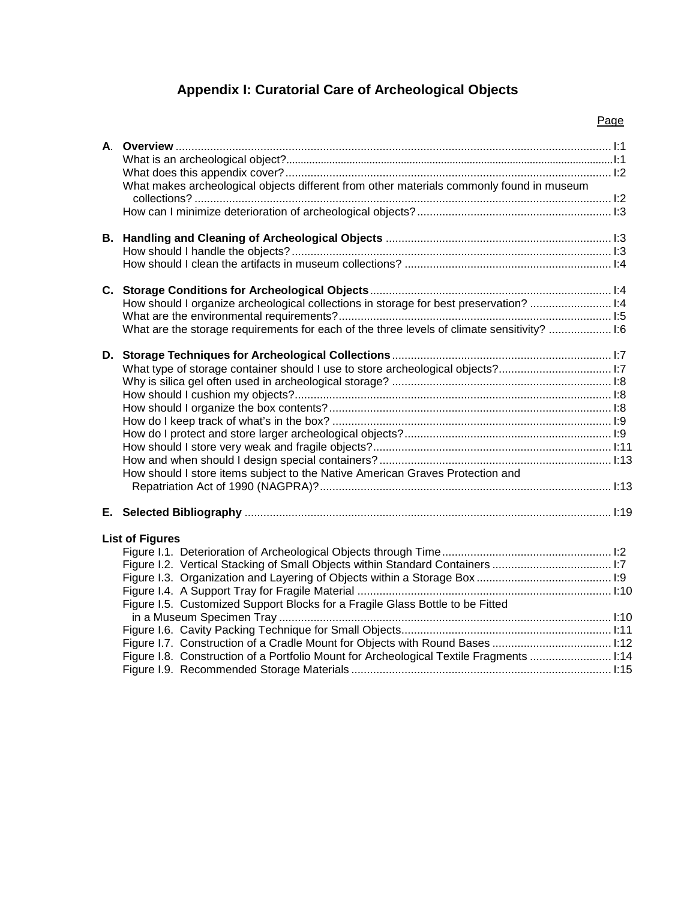# **Appendix I: Curatorial Care of Archeological Objects**

| What makes archeological objects different from other materials commonly found in museum    |  |
|---------------------------------------------------------------------------------------------|--|
|                                                                                             |  |
|                                                                                             |  |
|                                                                                             |  |
|                                                                                             |  |
|                                                                                             |  |
|                                                                                             |  |
| How should I organize archeological collections in storage for best preservation? 1:4       |  |
|                                                                                             |  |
| What are the storage requirements for each of the three levels of climate sensitivity?  1:6 |  |
|                                                                                             |  |
| What type of storage container should I use to store archeological objects?1:7              |  |
|                                                                                             |  |
|                                                                                             |  |
|                                                                                             |  |
|                                                                                             |  |
|                                                                                             |  |
|                                                                                             |  |
| How should I store items subject to the Native American Graves Protection and               |  |
|                                                                                             |  |
|                                                                                             |  |
|                                                                                             |  |
| <b>List of Figures</b>                                                                      |  |
|                                                                                             |  |
|                                                                                             |  |
|                                                                                             |  |
|                                                                                             |  |
| Figure I.5. Customized Support Blocks for a Fragile Glass Bottle to be Fitted               |  |
|                                                                                             |  |
|                                                                                             |  |
|                                                                                             |  |
| Figure I.8. Construction of a Portfolio Mount for Archeological Textile Fragments  I:14     |  |
|                                                                                             |  |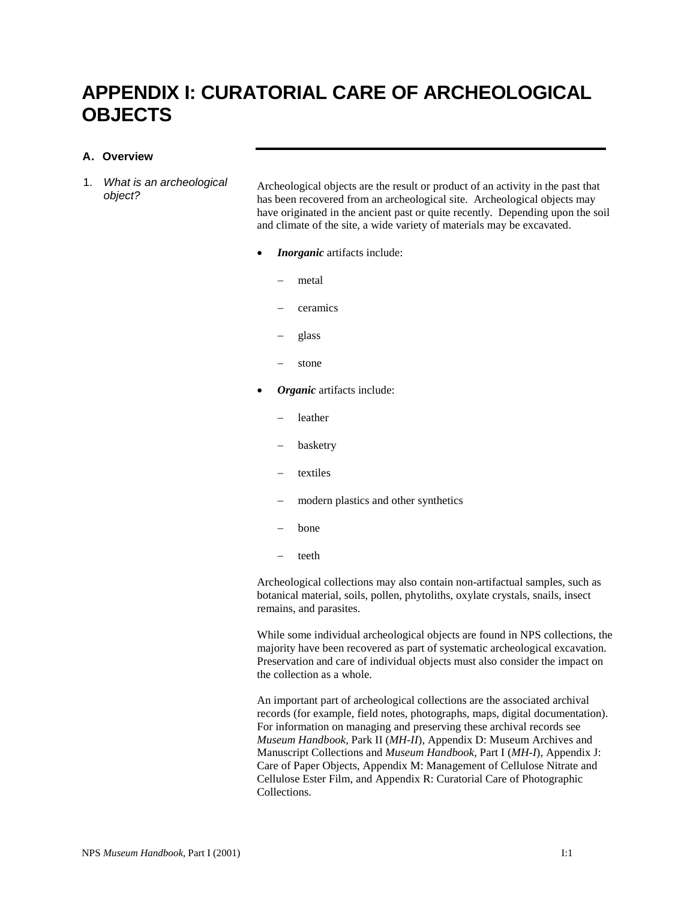# **APPENDIX I: CURATORIAL CARE OF ARCHEOLOGICAL OBJECTS**

#### **A. Overview**

1. *What is an archeological* 

*What is an archeological* Archeological objects are the result or product of an activity in the past that object? has been recovered from an archeological site. Archeological objects may have originated in the ancient past or quite recently. Depending upon the soil and climate of the site, a wide variety of materials may be excavated.

- *Inorganic* artifacts include:
	- − metal
	- ceramics
	- − glass
	- stone
- *Organic* artifacts include:
	- − leather
	- − basketry
	- textiles
	- modern plastics and other synthetics
	- − bone
	- − teeth

Archeological collections may also contain non-artifactual samples, such as botanical material, soils, pollen, phytoliths, oxylate crystals, snails, insect remains, and parasites.

While some individual archeological objects are found in NPS collections, the majority have been recovered as part of systematic archeological excavation. Preservation and care of individual objects must also consider the impact on the collection as a whole.

An important part of archeological collections are the associated archival records (for example, field notes, photographs, maps, digital documentation). For information on managing and preserving these archival records see *Museum Handbook,* Park II (*MH-II*), Appendix D: Museum Archives and Manuscript Collections and *Museum Handbook,* Part I (*MH-I*), Appendix J: Care of Paper Objects, Appendix M: Management of Cellulose Nitrate and Cellulose Ester Film, and Appendix R: Curatorial Care of Photographic Collections.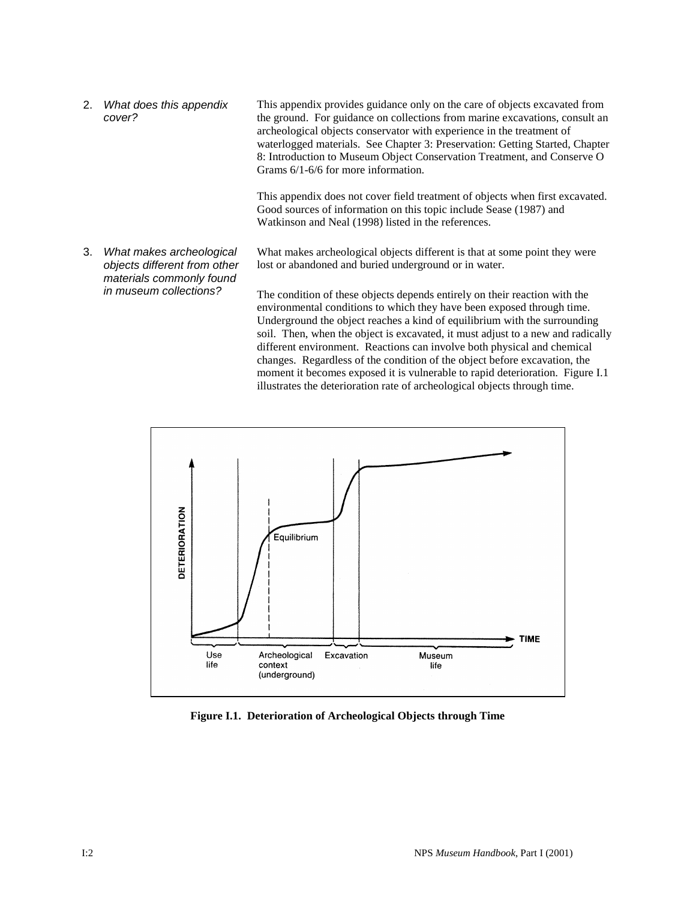2. *What does this appendix cover?* This appendix provides guidance only on the care of objects excavated from the ground. For guidance on collections from marine excavations, consult an archeological objects conservator with experience in the treatment of waterlogged materials. See Chapter 3: Preservation: Getting Started, Chapter 8: Introduction to Museum Object Conservation Treatment, and Conserve O Grams 6/1-6/6 for more information.

> This appendix does not cover field treatment of objects when first excavated. Good sources of information on this topic include Sease (1987) and Watkinson and Neal (1998) listed in the references.

3. *What makes archeological objects different from other materials commonly found in museum collections?*

What makes archeological objects different is that at some point they were lost or abandoned and buried underground or in water.

The condition of these objects depends entirely on their reaction with the environmental conditions to which they have been exposed through time. Underground the object reaches a kind of equilibrium with the surrounding soil. Then, when the object is excavated, it must adjust to a new and radically different environment. Reactions can involve both physical and chemical changes. Regardless of the condition of the object before excavation, the moment it becomes exposed it is vulnerable to rapid deterioration. Figure I.1 illustrates the deterioration rate of archeological objects through time.



**Figure I.1. Deterioration of Archeological Objects through Time**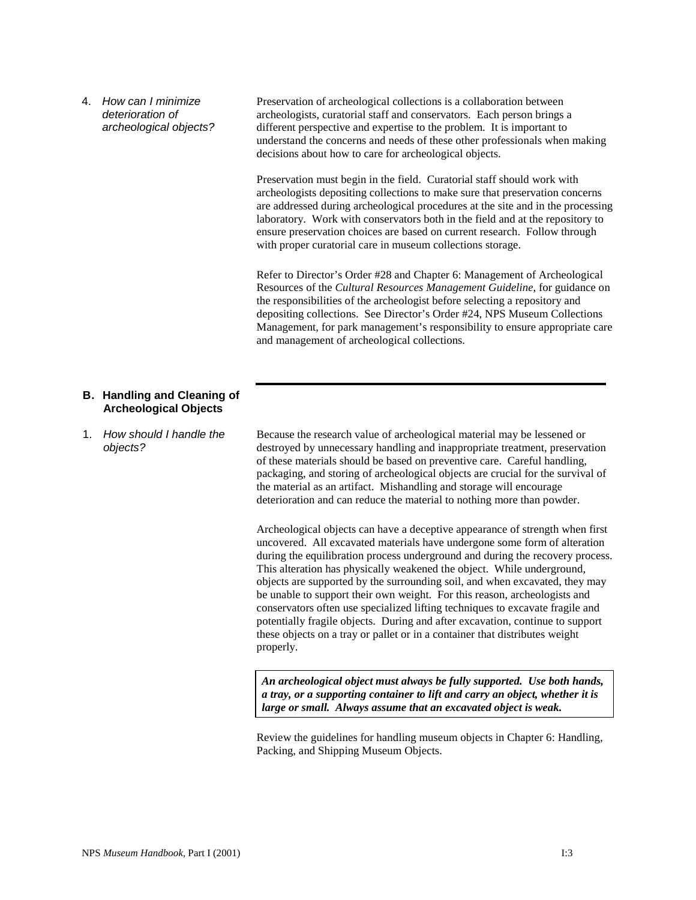4. *How can I minimize deterioration of archeological objects?* Preservation of archeological collections is a collaboration between archeologists, curatorial staff and conservators. Each person brings a different perspective and expertise to the problem. It is important to understand the concerns and needs of these other professionals when making decisions about how to care for archeological objects.

Preservation must begin in the field. Curatorial staff should work with archeologists depositing collections to make sure that preservation concerns are addressed during archeological procedures at the site and in the processing laboratory. Work with conservators both in the field and at the repository to ensure preservation choices are based on current research. Follow through with proper curatorial care in museum collections storage.

Refer to Director's Order #28 and Chapter 6: Management of Archeological Resources of the *Cultural Resources Management Guideline*, for guidance on the responsibilities of the archeologist before selecting a repository and depositing collections. See Director's Order #24, NPS Museum Collections Management, for park management's responsibility to ensure appropriate care and management of archeological collections.

#### **B. Handling and Cleaning of Archeological Objects**

1. *How should I handle the objects?*

Because the research value of archeological material may be lessened or destroyed by unnecessary handling and inappropriate treatment, preservation of these materials should be based on preventive care. Careful handling, packaging, and storing of archeological objects are crucial for the survival of the material as an artifact. Mishandling and storage will encourage deterioration and can reduce the material to nothing more than powder.

Archeological objects can have a deceptive appearance of strength when first uncovered. All excavated materials have undergone some form of alteration during the equilibration process underground and during the recovery process. This alteration has physically weakened the object. While underground, objects are supported by the surrounding soil, and when excavated, they may be unable to support their own weight. For this reason, archeologists and conservators often use specialized lifting techniques to excavate fragile and potentially fragile objects. During and after excavation, continue to support these objects on a tray or pallet or in a container that distributes weight properly.

*An archeological object must always be fully supported. Use both hands, a tray, or a supporting container to lift and carry an object, whether it is large or small. Always assume that an excavated object is weak.*

Review the guidelines for handling museum objects in Chapter 6: Handling, Packing, and Shipping Museum Objects.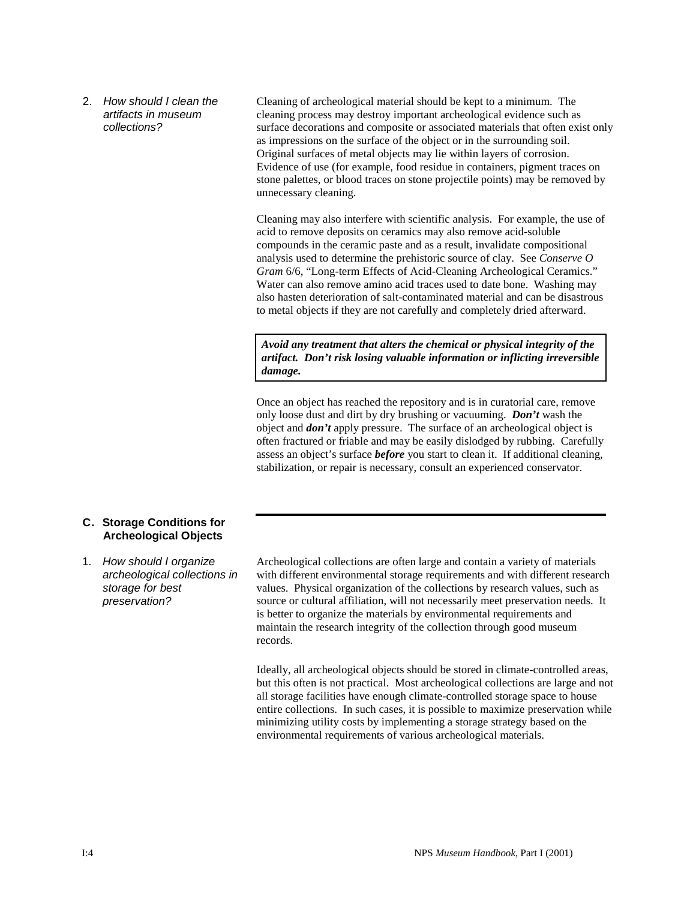2. *How should I clean the artifacts in museum collections?*

Cleaning of archeological material should be kept to a minimum. The cleaning process may destroy important archeological evidence such as surface decorations and composite or associated materials that often exist only as impressions on the surface of the object or in the surrounding soil. Original surfaces of metal objects may lie within layers of corrosion. Evidence of use (for example, food residue in containers, pigment traces on stone palettes, or blood traces on stone projectile points) may be removed by unnecessary cleaning.

Cleaning may also interfere with scientific analysis. For example, the use of acid to remove deposits on ceramics may also remove acid-soluble compounds in the ceramic paste and as a result, invalidate compositional analysis used to determine the prehistoric source of clay. See *Conserve O Gram* 6/6, "Long-term Effects of Acid-Cleaning Archeological Ceramics." Water can also remove amino acid traces used to date bone. Washing may also hasten deterioration of salt-contaminated material and can be disastrous to metal objects if they are not carefully and completely dried afterward.

*Avoid any treatment that alters the chemical or physical integrity of the artifact. Don't risk losing valuable information or inflicting irreversible damage.*

Once an object has reached the repository and is in curatorial care, remove only loose dust and dirt by dry brushing or vacuuming. *Don't* wash the object and *don't* apply pressure. The surface of an archeological object is often fractured or friable and may be easily dislodged by rubbing. Carefully assess an object's surface *before* you start to clean it. If additional cleaning, stabilization, or repair is necessary, consult an experienced conservator.

#### **C. Storage Conditions for Archeological Objects**

1. *How should I organize archeological collections in storage for best preservation?*

Archeological collections are often large and contain a variety of materials with different environmental storage requirements and with different research values. Physical organization of the collections by research values, such as source or cultural affiliation, will not necessarily meet preservation needs. It is better to organize the materials by environmental requirements and maintain the research integrity of the collection through good museum records.

Ideally, all archeological objects should be stored in climate-controlled areas, but this often is not practical. Most archeological collections are large and not all storage facilities have enough climate-controlled storage space to house entire collections. In such cases, it is possible to maximize preservation while minimizing utility costs by implementing a storage strategy based on the environmental requirements of various archeological materials.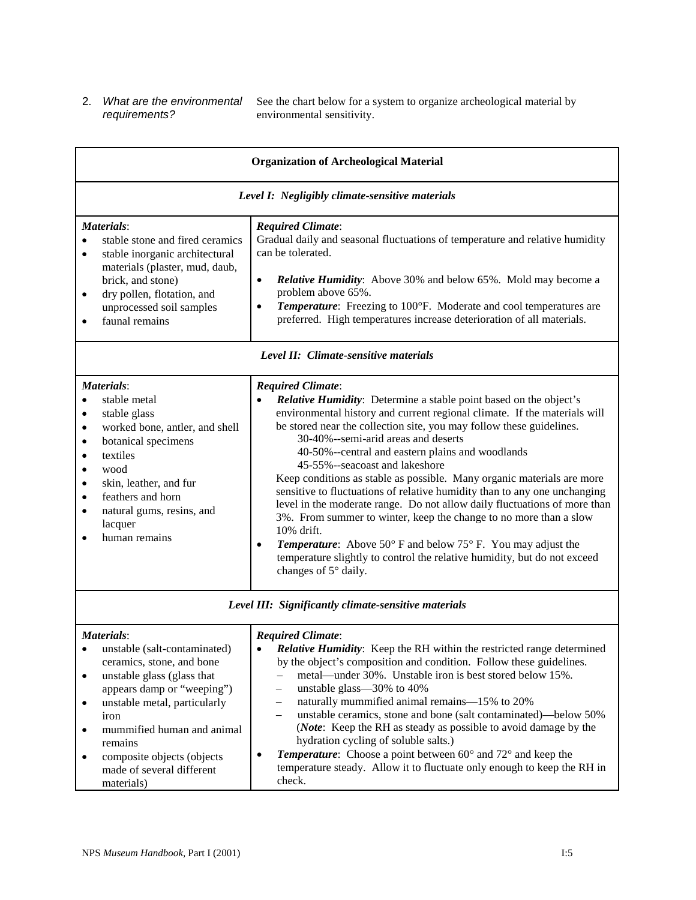# *requirements?*

2. *What are the environmental*  See the chart below for a system to organize archeological material by environmental sensitivity.

| <b>Organization of Archeological Material</b>                                                                                                                                                                                                                                                                                                                                                                                                                                                                                                                                                                                                                     |                                                                                                                                                                                                                                                                                                                                                                                                                                                                                                                                                                                                                                                                                                                                                                                                                                                                                                                 |  |  |  |
|-------------------------------------------------------------------------------------------------------------------------------------------------------------------------------------------------------------------------------------------------------------------------------------------------------------------------------------------------------------------------------------------------------------------------------------------------------------------------------------------------------------------------------------------------------------------------------------------------------------------------------------------------------------------|-----------------------------------------------------------------------------------------------------------------------------------------------------------------------------------------------------------------------------------------------------------------------------------------------------------------------------------------------------------------------------------------------------------------------------------------------------------------------------------------------------------------------------------------------------------------------------------------------------------------------------------------------------------------------------------------------------------------------------------------------------------------------------------------------------------------------------------------------------------------------------------------------------------------|--|--|--|
| Level I: Negligibly climate-sensitive materials                                                                                                                                                                                                                                                                                                                                                                                                                                                                                                                                                                                                                   |                                                                                                                                                                                                                                                                                                                                                                                                                                                                                                                                                                                                                                                                                                                                                                                                                                                                                                                 |  |  |  |
| Materials:<br><b>Required Climate:</b><br>Gradual daily and seasonal fluctuations of temperature and relative humidity<br>stable stone and fired ceramics<br>$\bullet$<br>can be tolerated.<br>stable inorganic architectural<br>$\bullet$<br>materials (plaster, mud, daub,<br><b>Relative Humidity:</b> Above 30% and below 65%. Mold may become a<br>brick, and stone)<br>$\bullet$<br>problem above 65%.<br>dry pollen, flotation, and<br>$\bullet$<br>Temperature: Freezing to 100°F. Moderate and cool temperatures are<br>unprocessed soil samples<br>$\bullet$<br>preferred. High temperatures increase deterioration of all materials.<br>faunal remains |                                                                                                                                                                                                                                                                                                                                                                                                                                                                                                                                                                                                                                                                                                                                                                                                                                                                                                                 |  |  |  |
|                                                                                                                                                                                                                                                                                                                                                                                                                                                                                                                                                                                                                                                                   | Level II: Climate-sensitive materials                                                                                                                                                                                                                                                                                                                                                                                                                                                                                                                                                                                                                                                                                                                                                                                                                                                                           |  |  |  |
| Materials:<br>stable metal<br>stable glass<br>$\bullet$<br>worked bone, antler, and shell<br>$\bullet$<br>botanical specimens<br>$\bullet$<br>textiles<br>$\bullet$<br>wood<br>$\bullet$<br>skin, leather, and fur<br>$\bullet$<br>feathers and horn<br>$\bullet$<br>natural gums, resins, and<br>$\bullet$<br>lacquer<br>human remains                                                                                                                                                                                                                                                                                                                           | <b>Required Climate:</b><br><b>Relative Humidity:</b> Determine a stable point based on the object's<br>environmental history and current regional climate. If the materials will<br>be stored near the collection site, you may follow these guidelines.<br>30-40%--semi-arid areas and deserts<br>40-50%--central and eastern plains and woodlands<br>45-55%--seacoast and lakeshore<br>Keep conditions as stable as possible. Many organic materials are more<br>sensitive to fluctuations of relative humidity than to any one unchanging<br>level in the moderate range. Do not allow daily fluctuations of more than<br>3%. From summer to winter, keep the change to no more than a slow<br>10% drift.<br><b>Temperature:</b> Above $50^{\circ}$ F and below $75^{\circ}$ F. You may adjust the<br>٠<br>temperature slightly to control the relative humidity, but do not exceed<br>changes of 5° daily. |  |  |  |
|                                                                                                                                                                                                                                                                                                                                                                                                                                                                                                                                                                                                                                                                   | Level III: Significantly climate-sensitive materials                                                                                                                                                                                                                                                                                                                                                                                                                                                                                                                                                                                                                                                                                                                                                                                                                                                            |  |  |  |
| Materials:<br>unstable (salt-contaminated)<br>ceramics, stone, and bone<br>unstable glass (glass that<br>$\bullet$<br>appears damp or "weeping")<br>unstable metal, particularly<br>$\bullet$<br>iron<br>mummified human and animal<br>٠<br>remains<br>composite objects (objects<br>٠<br>made of several different                                                                                                                                                                                                                                                                                                                                               | <b>Required Climate:</b><br><b>Relative Humidity:</b> Keep the RH within the restricted range determined<br>$\bullet$<br>by the object's composition and condition. Follow these guidelines.<br>metal—under 30%. Unstable iron is best stored below 15%.<br>unstable glass—30% to 40%<br>$\overline{\phantom{0}}$<br>naturally mummified animal remains-15% to 20%<br>$\qquad \qquad -$<br>unstable ceramics, stone and bone (salt contaminated)—below 50%<br>$\overline{\phantom{m}}$<br>(Note: Keep the RH as steady as possible to avoid damage by the<br>hydration cycling of soluble salts.)<br>Temperature: Choose a point between 60° and 72° and keep the<br>$\bullet$<br>temperature steady. Allow it to fluctuate only enough to keep the RH in<br>check.                                                                                                                                             |  |  |  |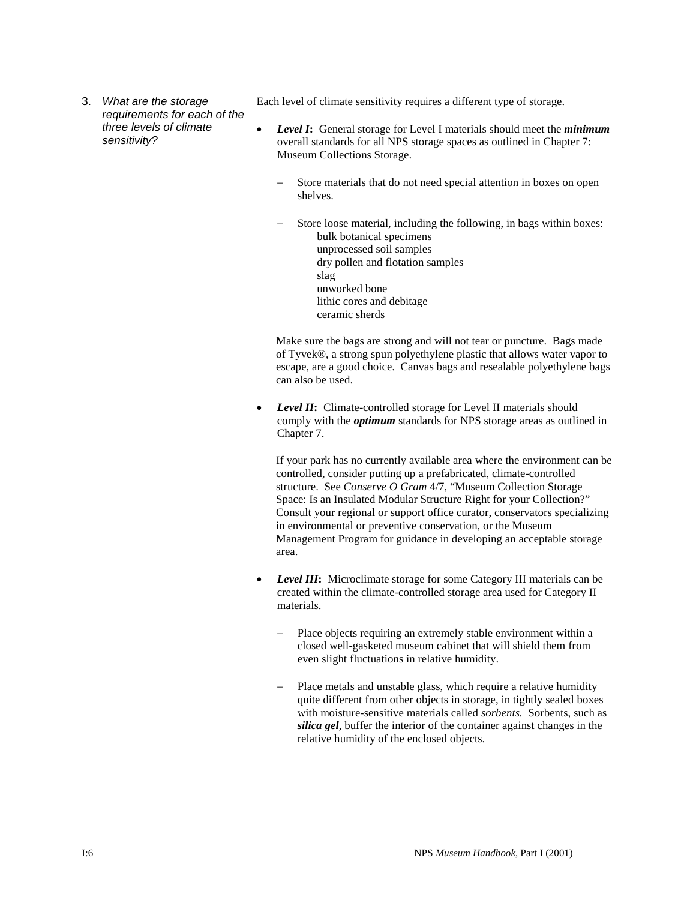3. *What are the storage requirements for each of the three levels of climate sensitivity?*

Each level of climate sensitivity requires a different type of storage.

- *Level I***:** General storage for Level I materials should meet the *minimum* overall standards for all NPS storage spaces as outlined in Chapter 7: Museum Collections Storage.
	- Store materials that do not need special attention in boxes on open shelves.
	- Store loose material, including the following, in bags within boxes: bulk botanical specimens unprocessed soil samples dry pollen and flotation samples slag unworked bone lithic cores and debitage ceramic sherds

Make sure the bags are strong and will not tear or puncture. Bags made of Tyvek®, a strong spun polyethylene plastic that allows water vapor to escape, are a good choice. Canvas bags and resealable polyethylene bags can also be used.

• *Level II***:** Climate-controlled storage for Level II materials should comply with the *optimum* standards for NPS storage areas as outlined in Chapter 7.

If your park has no currently available area where the environment can be controlled, consider putting up a prefabricated, climate-controlled structure. See *Conserve O Gram* 4/7, "Museum Collection Storage Space: Is an Insulated Modular Structure Right for your Collection?" Consult your regional or support office curator, conservators specializing in environmental or preventive conservation, or the Museum Management Program for guidance in developing an acceptable storage area.

- *Level III*: Microclimate storage for some Category III materials can be created within the climate-controlled storage area used for Category II materials.
	- Place objects requiring an extremely stable environment within a closed well-gasketed museum cabinet that will shield them from even slight fluctuations in relative humidity.
	- Place metals and unstable glass, which require a relative humidity quite different from other objects in storage, in tightly sealed boxes with moisture-sensitive materials called *sorbents.* Sorbents, such as *silica gel*, buffer the interior of the container against changes in the relative humidity of the enclosed objects.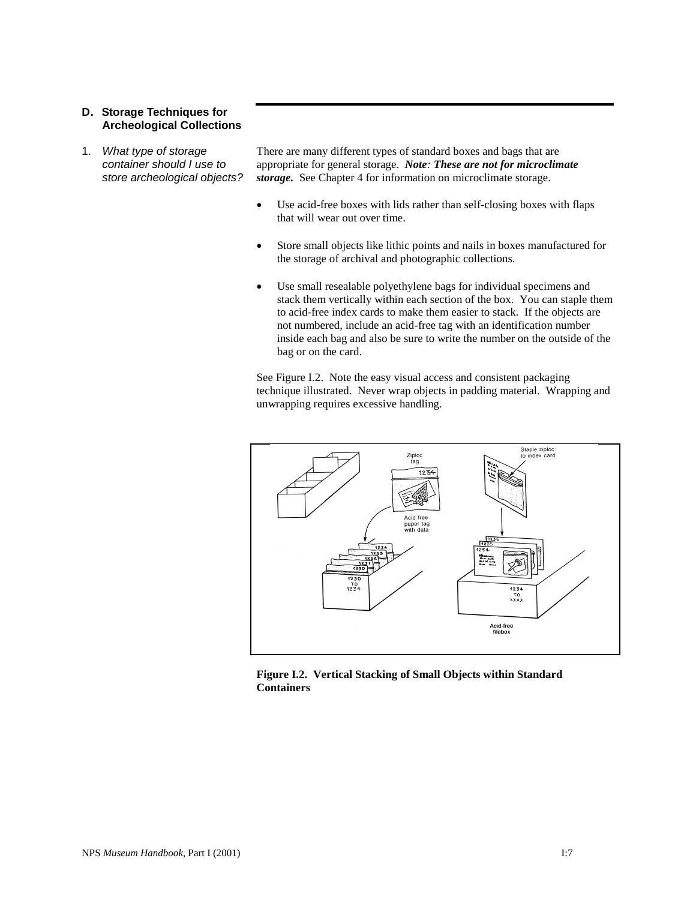#### **D. Storage Techniques for Archeological Collections**

1. *What type of storage container should I use to store archeological objects?*

There are many different types of standard boxes and bags that are appropriate for general storage. *Note: These are not for microclimate storage.* See Chapter 4 for information on microclimate storage.

- Use acid-free boxes with lids rather than self-closing boxes with flaps that will wear out over time.
- Store small objects like lithic points and nails in boxes manufactured for the storage of archival and photographic collections.
- Use small resealable polyethylene bags for individual specimens and stack them vertically within each section of the box. You can staple them to acid-free index cards to make them easier to stack. If the objects are not numbered, include an acid-free tag with an identification number inside each bag and also be sure to write the number on the outside of the bag or on the card.

See Figure I.2. Note the easy visual access and consistent packaging technique illustrated. Never wrap objects in padding material. Wrapping and unwrapping requires excessive handling.



**Figure I.2. Vertical Stacking of Small Objects within Standard Containers**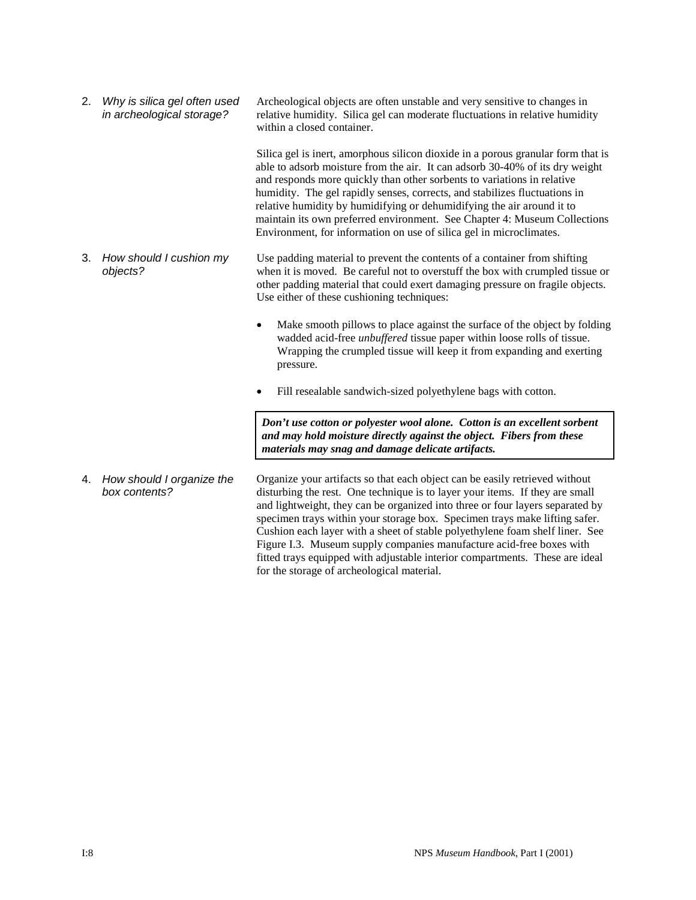2. *Why is silica gel often used in archeological storage?* Archeological objects are often unstable and very sensitive to changes in relative humidity. Silica gel can moderate fluctuations in relative humidity within a closed container.

> Silica gel is inert, amorphous silicon dioxide in a porous granular form that is able to adsorb moisture from the air. It can adsorb 30-40% of its dry weight and responds more quickly than other sorbents to variations in relative humidity. The gel rapidly senses, corrects, and stabilizes fluctuations in relative humidity by humidifying or dehumidifying the air around it to maintain its own preferred environment. See Chapter 4: Museum Collections Environment, for information on use of silica gel in microclimates.

- 3. *How should I cushion my objects?* Use padding material to prevent the contents of a container from shifting when it is moved. Be careful not to overstuff the box with crumpled tissue or other padding material that could exert damaging pressure on fragile objects. Use either of these cushioning techniques:
	- Make smooth pillows to place against the surface of the object by folding wadded acid-free *unbuffered* tissue paper within loose rolls of tissue. Wrapping the crumpled tissue will keep it from expanding and exerting pressure.
	- Fill resealable sandwich-sized polyethylene bags with cotton.

*Don't use cotton or polyester wool alone. Cotton is an excellent sorbent and may hold moisture directly against the object. Fibers from these materials may snag and damage delicate artifacts.*

4. *How should I organize the box contents?* Organize your artifacts so that each object can be easily retrieved without disturbing the rest. One technique is to layer your items. If they are small and lightweight, they can be organized into three or four layers separated by specimen trays within your storage box. Specimen trays make lifting safer. Cushion each layer with a sheet of stable polyethylene foam shelf liner. See Figure I.3. Museum supply companies manufacture acid-free boxes with fitted trays equipped with adjustable interior compartments. These are ideal for the storage of archeological material.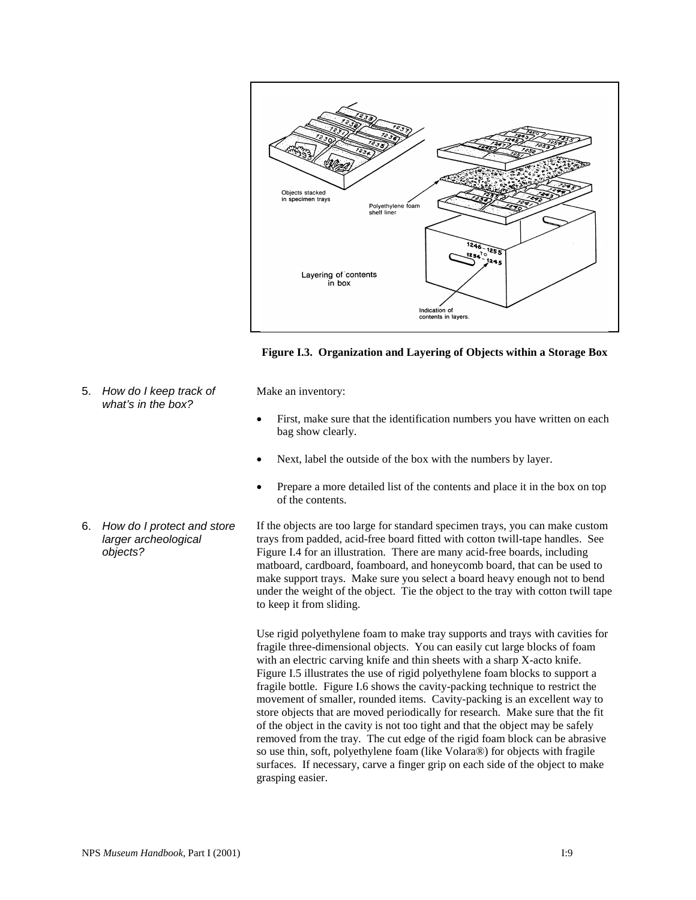

**Figure I.3. Organization and Layering of Objects within a Storage Box**

5. *How do I keep track of what's in the box?*

Make an inventory:

- First, make sure that the identification numbers you have written on each bag show clearly.
- Next, label the outside of the box with the numbers by layer.
- Prepare a more detailed list of the contents and place it in the box on top of the contents.
- 6. *How do I protect and store larger archeological objects?* If the objects are too large for standard specimen trays, you can make custom trays from padded, acid-free board fitted with cotton twill-tape handles. See Figure I.4 for an illustration. There are many acid-free boards, including matboard, cardboard, foamboard, and honeycomb board, that can be used to make support trays. Make sure you select a board heavy enough not to bend under the weight of the object. Tie the object to the tray with cotton twill tape to keep it from sliding.

Use rigid polyethylene foam to make tray supports and trays with cavities for fragile three-dimensional objects. You can easily cut large blocks of foam with an electric carving knife and thin sheets with a sharp X-acto knife. Figure I.5 illustrates the use of rigid polyethylene foam blocks to support a fragile bottle. Figure I.6 shows the cavity-packing technique to restrict the movement of smaller, rounded items. Cavity-packing is an excellent way to store objects that are moved periodically for research. Make sure that the fit of the object in the cavity is not too tight and that the object may be safely removed from the tray. The cut edge of the rigid foam block can be abrasive so use thin, soft, polyethylene foam (like Volara®) for objects with fragile surfaces. If necessary, carve a finger grip on each side of the object to make grasping easier.

NPS Museum Handbook, Part I (2001)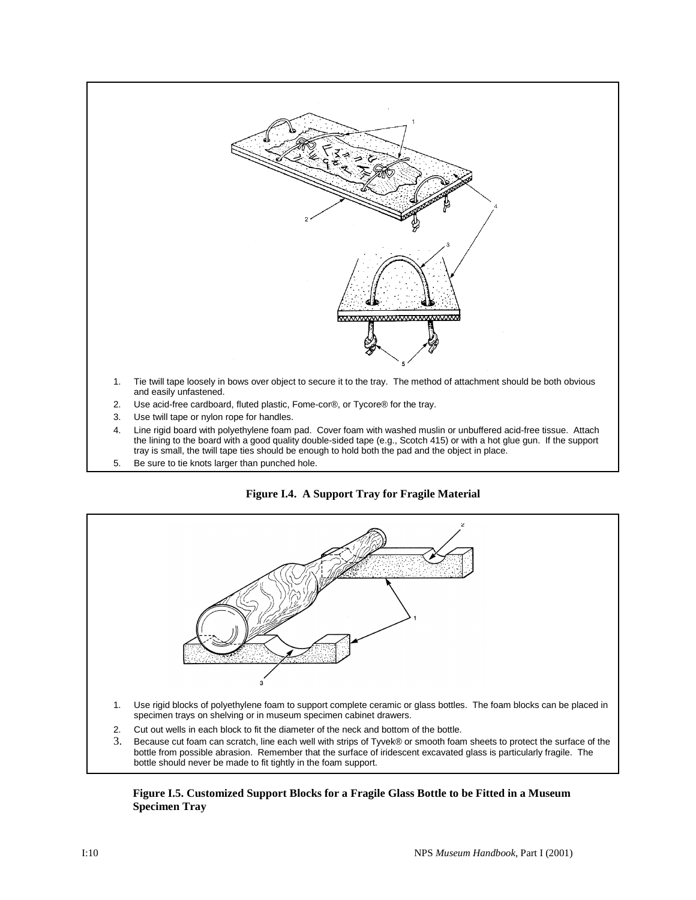

- 
- 4. Line rigid board with polyethylene foam pad. Cover foam with washed muslin or unbuffered acid-free tissue. Attach the lining to the board with a good quality double-sided tape (e.g., Scotch 415) or with a hot glue gun. If the support tray is small, the twill tape ties should be enough to hold both the pad and the object in place.
- 5. Be sure to tie knots larger than punched hole.





#### **Figure I.5. Customized Support Blocks for a Fragile Glass Bottle to be Fitted in a Museum Specimen Tray**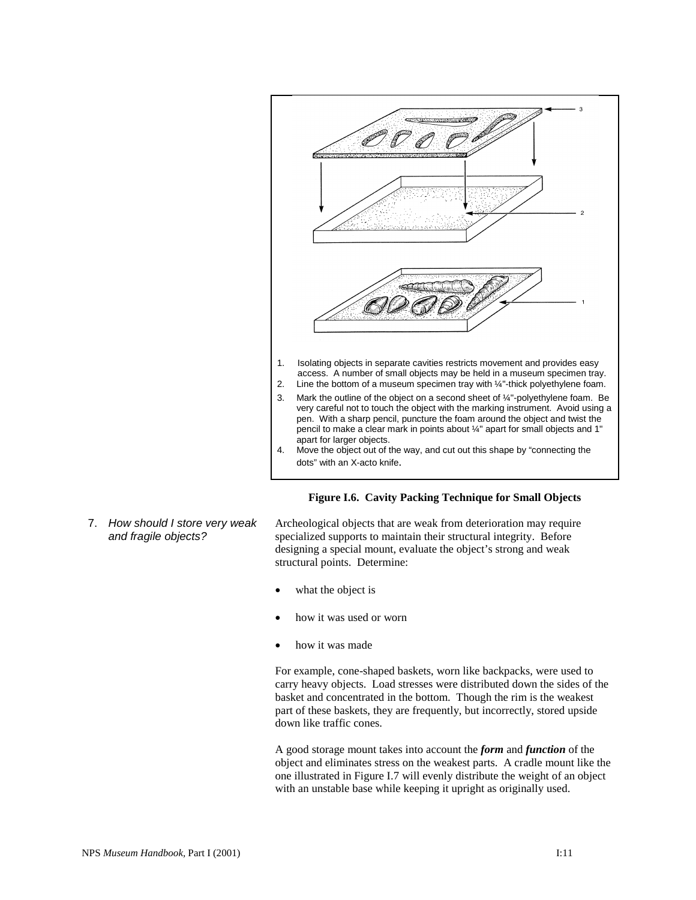

#### **Figure I.6. Cavity Packing Technique for Small Objects**

7. *How should I store very weak and fragile objects?*

Archeological objects that are weak from deterioration may require specialized supports to maintain their structural integrity. Before designing a special mount, evaluate the object's strong and weak structural points. Determine:

- what the object is
- how it was used or worn
- how it was made

For example, cone-shaped baskets, worn like backpacks, were used to carry heavy objects. Load stresses were distributed down the sides of the basket and concentrated in the bottom. Though the rim is the weakest part of these baskets, they are frequently, but incorrectly, stored upside down like traffic cones.

A good storage mount takes into account the *form* and *function* of the object and eliminates stress on the weakest parts. A cradle mount like the one illustrated in Figure I.7 will evenly distribute the weight of an object with an unstable base while keeping it upright as originally used.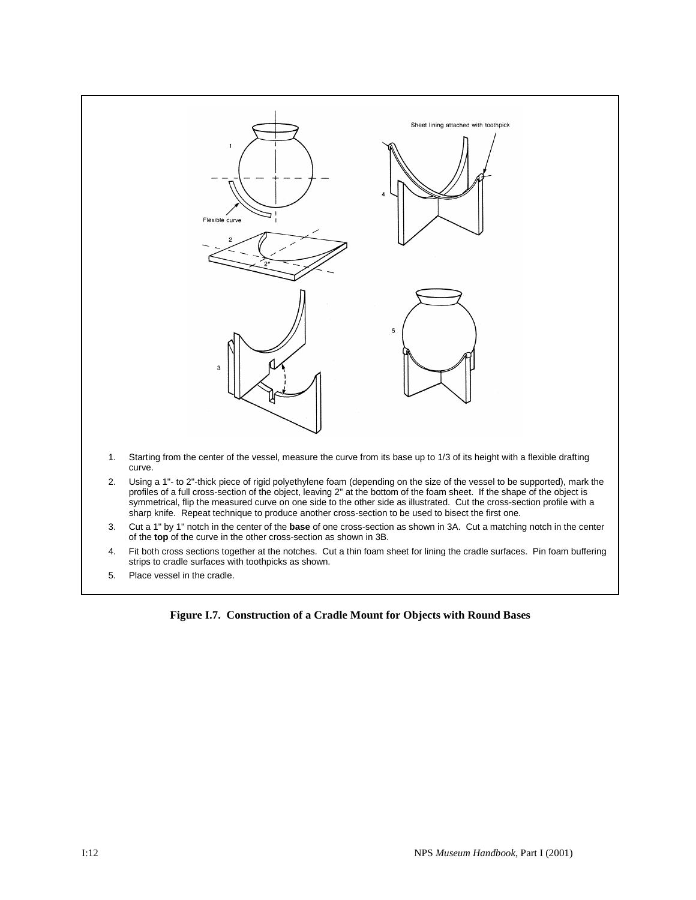

5. Place vessel in the cradle.

**Figure I.7. Construction of a Cradle Mount for Objects with Round Bases**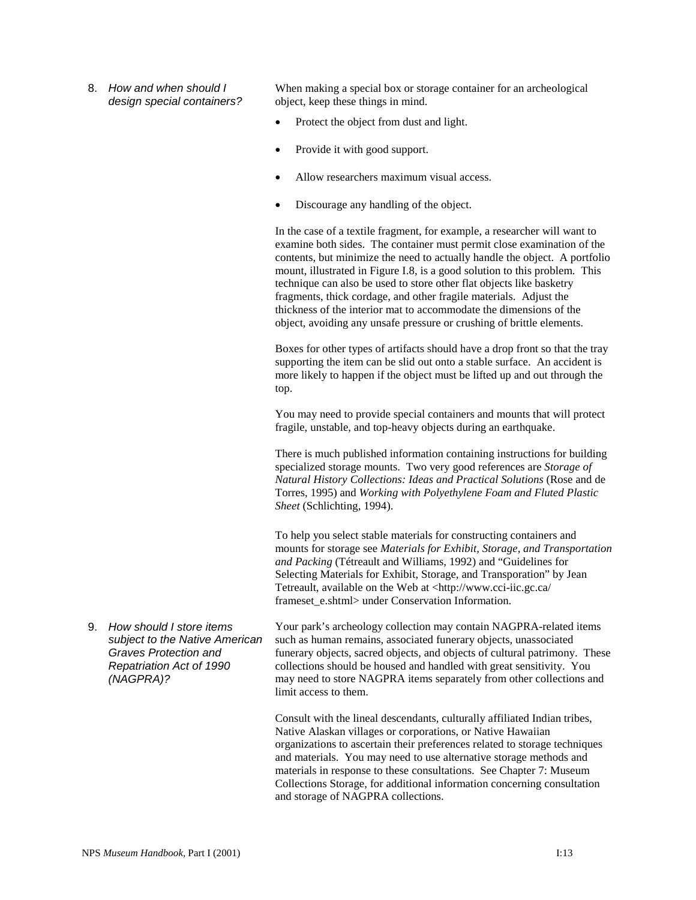8. *How and when should I design special containers?*

When making a special box or storage container for an archeological object, keep these things in mind.

- Protect the object from dust and light.
- Provide it with good support.
- Allow researchers maximum visual access.
- Discourage any handling of the object.

In the case of a textile fragment, for example, a researcher will want to examine both sides. The container must permit close examination of the contents, but minimize the need to actually handle the object. A portfolio mount, illustrated in Figure I.8, is a good solution to this problem. This technique can also be used to store other flat objects like basketry fragments, thick cordage, and other fragile materials. Adjust the thickness of the interior mat to accommodate the dimensions of the object, avoiding any unsafe pressure or crushing of brittle elements.

Boxes for other types of artifacts should have a drop front so that the tray supporting the item can be slid out onto a stable surface. An accident is more likely to happen if the object must be lifted up and out through the top.

You may need to provide special containers and mounts that will protect fragile, unstable, and top-heavy objects during an earthquake.

There is much published information containing instructions for building specialized storage mounts. Two very good references are *Storage of Natural History Collections: Ideas and Practical Solutions* (Rose and de Torres, 1995) and *Working with Polyethylene Foam and Fluted Plastic Sheet* (Schlichting, 1994).

To help you select stable materials for constructing containers and mounts for storage see *Materials for Exhibit, Storage, and Transportation and Packing* (Tétreault and Williams, 1992) and "Guidelines for Selecting Materials for Exhibit, Storage, and Transporation" by Jean Tetreault, available on the Web at <http://www.cci-iic.gc.ca/ frameset e.shtml> under Conservation Information.

9. *How should I store items subject to the Native American Graves Protection and Repatriation Act of 1990 (NAGPRA)?*

Your park's archeology collection may contain NAGPRA-related items such as human remains, associated funerary objects, unassociated funerary objects, sacred objects, and objects of cultural patrimony. These collections should be housed and handled with great sensitivity. You may need to store NAGPRA items separately from other collections and limit access to them.

Consult with the lineal descendants, culturally affiliated Indian tribes, Native Alaskan villages or corporations, or Native Hawaiian organizations to ascertain their preferences related to storage techniques and materials. You may need to use alternative storage methods and materials in response to these consultations. See Chapter 7: Museum Collections Storage, for additional information concerning consultation and storage of NAGPRA collections.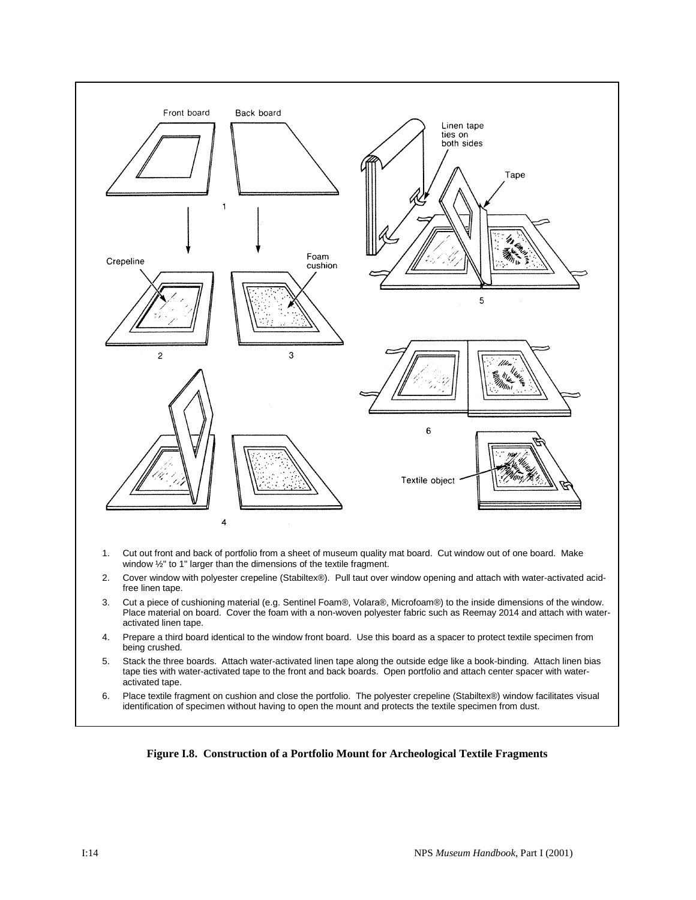

**Figure I.8. Construction of a Portfolio Mount for Archeological Textile Fragments**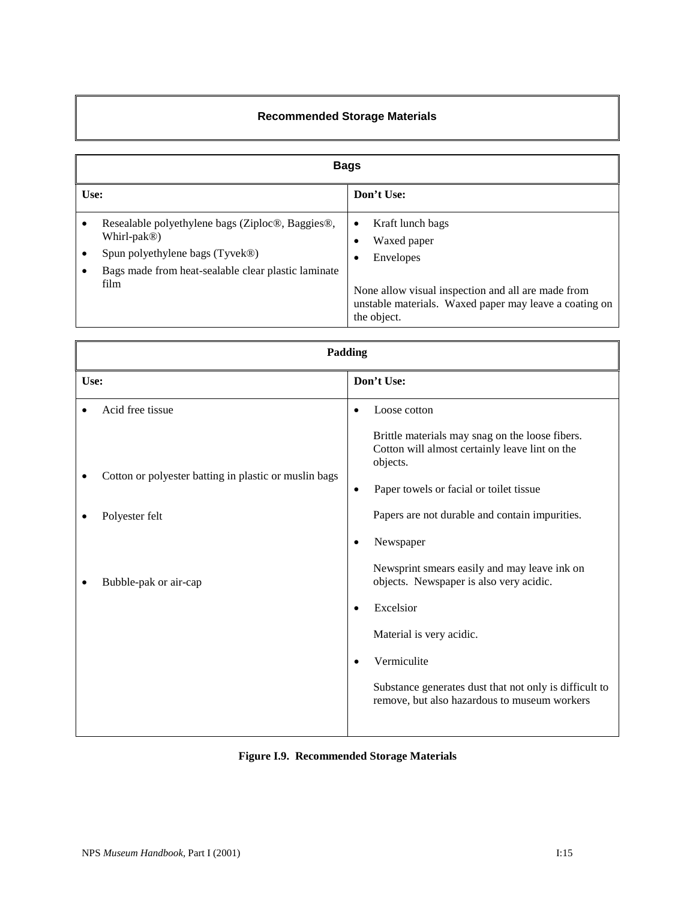# **Recommended Storage Materials**

|      | <b>Bags</b>                                                                                                                                                                    |                                                                                                                                                                                                           |  |  |
|------|--------------------------------------------------------------------------------------------------------------------------------------------------------------------------------|-----------------------------------------------------------------------------------------------------------------------------------------------------------------------------------------------------------|--|--|
| Use: |                                                                                                                                                                                | Don't Use:                                                                                                                                                                                                |  |  |
| ٠    | Resealable polyethylene bags (Ziploc®, Baggies®,<br>Whirl-pak <sup>®</sup> )<br>Spun polyethylene bags (Tyvek®)<br>Bags made from heat-sealable clear plastic laminate<br>film | Kraft lunch bags<br>$\bullet$<br>Waxed paper<br>٠<br><b>Envelopes</b><br>٠<br>None allow visual inspection and all are made from<br>unstable materials. Waxed paper may leave a coating on<br>the object. |  |  |

|      | Padding                                                                                          |                                                  |                                                                                                                                                                                                                                                                                                                                                                            |  |  |
|------|--------------------------------------------------------------------------------------------------|--------------------------------------------------|----------------------------------------------------------------------------------------------------------------------------------------------------------------------------------------------------------------------------------------------------------------------------------------------------------------------------------------------------------------------------|--|--|
| Use: |                                                                                                  |                                                  | Don't Use:                                                                                                                                                                                                                                                                                                                                                                 |  |  |
|      | Acid free tissue                                                                                 | $\bullet$                                        | Loose cotton                                                                                                                                                                                                                                                                                                                                                               |  |  |
|      | Cotton or polyester batting in plastic or muslin bags<br>Polyester felt<br>Bubble-pak or air-cap | $\bullet$<br>$\bullet$<br>$\bullet$<br>$\bullet$ | Brittle materials may snag on the loose fibers.<br>Cotton will almost certainly leave lint on the<br>objects.<br>Paper towels or facial or toilet tissue<br>Papers are not durable and contain impurities.<br>Newspaper<br>Newsprint smears easily and may leave ink on<br>objects. Newspaper is also very acidic.<br>Excelsior<br>Material is very acidic.<br>Vermiculite |  |  |
|      |                                                                                                  |                                                  | Substance generates dust that not only is difficult to<br>remove, but also hazardous to museum workers                                                                                                                                                                                                                                                                     |  |  |
|      |                                                                                                  |                                                  |                                                                                                                                                                                                                                                                                                                                                                            |  |  |

### **Figure I.9. Recommended Storage Materials**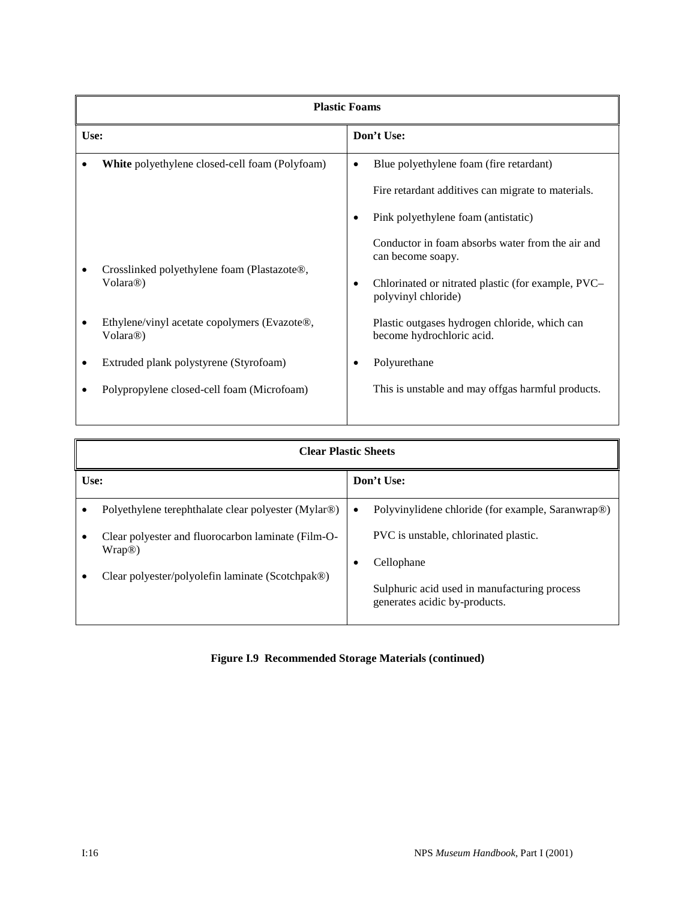|      | <b>Plastic Foams</b>                                                  |            |                                                                            |  |
|------|-----------------------------------------------------------------------|------------|----------------------------------------------------------------------------|--|
| Use: |                                                                       | Don't Use: |                                                                            |  |
|      | White polyethylene closed-cell foam (Polyfoam)                        | $\bullet$  | Blue polyethylene foam (fire retardant)                                    |  |
|      |                                                                       |            | Fire retardant additives can migrate to materials.                         |  |
|      |                                                                       |            | Pink polyethylene foam (antistatic)                                        |  |
|      | Crosslinked polyethylene foam (Plastazote®,<br>Volara <sup>®</sup> )  |            | Conductor in foam absorbs water from the air and<br>can become soapy.      |  |
|      |                                                                       | $\bullet$  | Chlorinated or nitrated plastic (for example, PVC–<br>polyvinyl chloride)  |  |
|      | Ethylene/vinyl acetate copolymers (Evazote®,<br>Volara <sup>®</sup> ) |            | Plastic outgases hydrogen chloride, which can<br>become hydrochloric acid. |  |
| ٠    | Extruded plank polystyrene (Styrofoam)                                |            | Polyurethane                                                               |  |
|      | Polypropylene closed-cell foam (Microfoam)                            |            | This is unstable and may offgas harmful products.                          |  |
|      |                                                                       |            |                                                                            |  |

|      | <b>Clear Plastic Sheets</b>                                 |            |                                                                               |  |
|------|-------------------------------------------------------------|------------|-------------------------------------------------------------------------------|--|
| Use: |                                                             | Don't Use: |                                                                               |  |
|      | Polyethylene terephthalate clear polyester (Mylar®)         | $\bullet$  | Polyvinylidene chloride (for example, Saranwrap <sup>®)</sup>                 |  |
|      | Clear polyester and fluorocarbon laminate (Film-O-<br>Wrap@ |            | PVC is unstable, chlorinated plastic.                                         |  |
|      | Clear polyester/polyolefin laminate (Scotchpak®)            | $\bullet$  | Cellophane                                                                    |  |
|      |                                                             |            | Sulphuric acid used in manufacturing process<br>generates acidic by-products. |  |

# **Figure I.9 Recommended Storage Materials (continued)**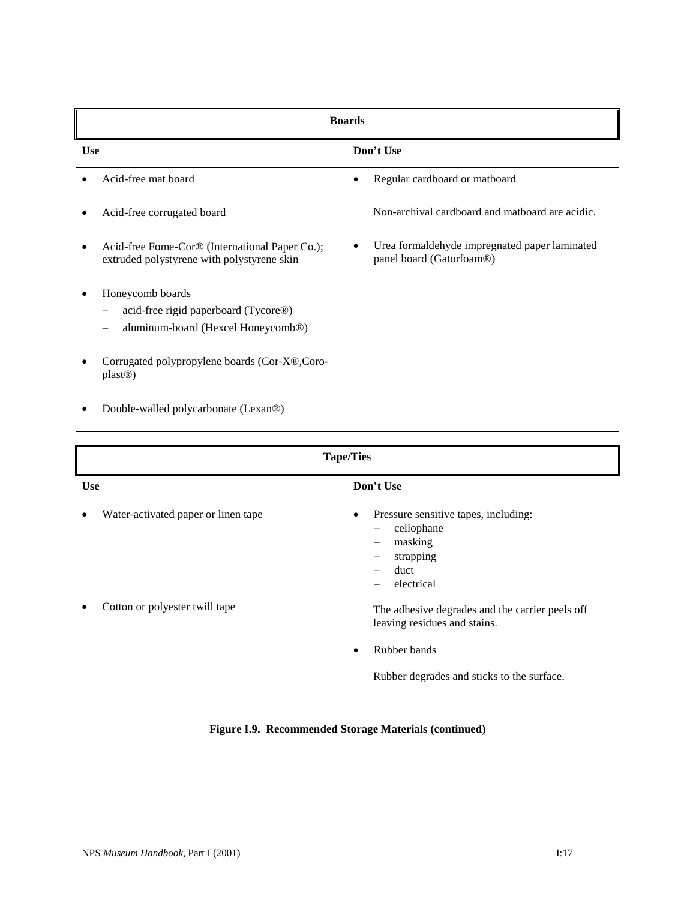|            | <b>Boards</b>                                                                                              |           |                                                                           |
|------------|------------------------------------------------------------------------------------------------------------|-----------|---------------------------------------------------------------------------|
| <b>Use</b> |                                                                                                            | Don't Use |                                                                           |
|            | Acid-free mat board                                                                                        | $\bullet$ | Regular cardboard or matboard                                             |
|            | Acid-free corrugated board                                                                                 |           | Non-archival cardboard and mathoard are acidic.                           |
|            | Acid-free Fome-Cor® (International Paper Co.);<br>extruded polystyrene with polystyrene skin               | ٠         | Urea formaldehyde impregnated paper laminated<br>panel board (Gatorfoam®) |
|            | Honeycomb boards<br>acid-free rigid paperboard (Tycore®)<br>aluminum-board (Hexcel Honeycomb <sup>®)</sup> |           |                                                                           |
|            | Corrugated polypropylene boards (Cor-X®,Coro-<br>plast@                                                    |           |                                                                           |
|            | Double-walled polycarbonate (Lexan <sup>®)</sup>                                                           |           |                                                                           |

| <b>Tape/Ties</b>                         |                                                                                                                                               |  |  |  |
|------------------------------------------|-----------------------------------------------------------------------------------------------------------------------------------------------|--|--|--|
| <b>Use</b>                               | Don't Use                                                                                                                                     |  |  |  |
| Water-activated paper or linen tape<br>٠ | Pressure sensitive tapes, including:<br>٠<br>cellophane<br>$\overline{\phantom{0}}$<br>masking<br>-<br>strapping<br>-<br>duct<br>electrical   |  |  |  |
| Cotton or polyester twill tape           | The adhesive degrades and the carrier peels off<br>leaving residues and stains.<br>Rubber bands<br>Rubber degrades and sticks to the surface. |  |  |  |

# **Figure I.9. Recommended Storage Materials (continued)**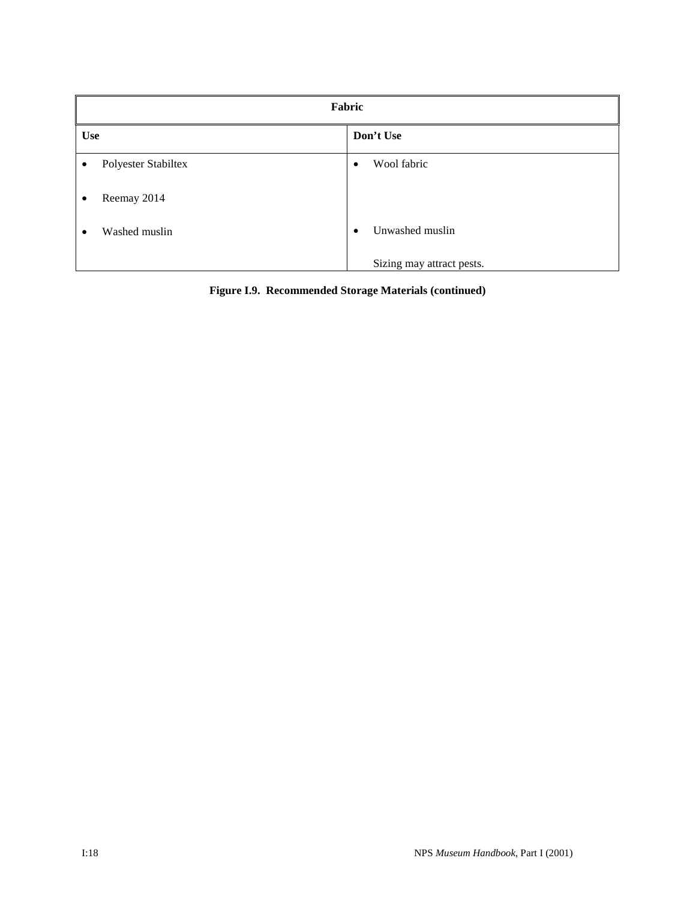|            | Fabric              |           |                           |  |  |
|------------|---------------------|-----------|---------------------------|--|--|
| <b>Use</b> |                     | Don't Use |                           |  |  |
| ٠          | Polyester Stabiltex | $\bullet$ | Wool fabric               |  |  |
| ٠          | Reemay 2014         |           |                           |  |  |
| $\bullet$  | Washed muslin       | $\bullet$ | Unwashed muslin           |  |  |
|            |                     |           | Sizing may attract pests. |  |  |

**Figure I.9. Recommended Storage Materials (continued)**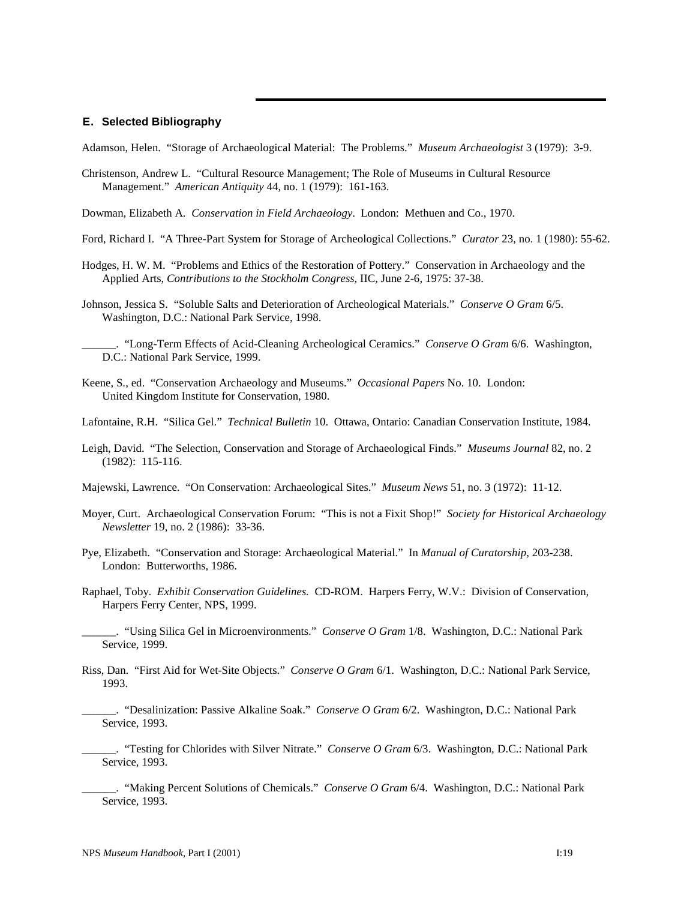#### **E. Selected Bibliography**

Adamson, Helen. "Storage of Archaeological Material: The Problems." *Museum Archaeologist* 3 (1979): 3-9.

- Christenson, Andrew L. "Cultural Resource Management; The Role of Museums in Cultural Resource Management." *American Antiquity* 44, no. 1 (1979): 161-163.
- Dowman, Elizabeth A. *Conservation in Field Archaeology*. London: Methuen and Co., 1970.
- Ford, Richard I. "A Three-Part System for Storage of Archeological Collections." *Curator* 23, no. 1 (1980): 55-62.
- Hodges, H. W. M. "Problems and Ethics of the Restoration of Pottery." Conservation in Archaeology and the Applied Arts, *Contributions to the Stockholm Congress*, IIC, June 2-6, 1975: 37-38.
- Johnson, Jessica S. "Soluble Salts and Deterioration of Archeological Materials." *Conserve O Gram* 6/5. Washington, D.C.: National Park Service, 1998.
	- \_\_\_\_\_\_. "Long-Term Effects of Acid-Cleaning Archeological Ceramics." *Conserve O Gram* 6/6. Washington, D.C.: National Park Service, 1999.
- Keene, S., ed. "Conservation Archaeology and Museums." *Occasional Papers* No. 10. London: United Kingdom Institute for Conservation, 1980.
- Lafontaine, R.H. "Silica Gel." *Technical Bulletin* 10. Ottawa, Ontario: Canadian Conservation Institute, 1984.
- Leigh, David. "The Selection, Conservation and Storage of Archaeological Finds." *Museums Journal* 82, no. 2 (1982): 115-116.
- Majewski, Lawrence. "On Conservation: Archaeological Sites." *Museum News* 51, no. 3 (1972): 11-12.
- Moyer, Curt. Archaeological Conservation Forum: "This is not a Fixit Shop!" *Society for Historical Archaeology Newsletter* 19, no. 2 (1986): 33-36.
- Pye, Elizabeth. "Conservation and Storage: Archaeological Material." In *Manual of Curatorship*, 203-238. London: Butterworths, 1986.
- Raphael, Toby. *Exhibit Conservation Guidelines.* CD-ROM. Harpers Ferry, W.V.: Division of Conservation, Harpers Ferry Center, NPS, 1999.
	- \_\_\_\_\_\_. "Using Silica Gel in Microenvironments." *Conserve O Gram* 1/8. Washington, D.C.: National Park Service, 1999.
- Riss, Dan. "First Aid for Wet-Site Objects." *Conserve O Gram* 6/1. Washington, D.C.: National Park Service, 1993.
	- \_\_\_\_\_\_. "Desalinization: Passive Alkaline Soak." *Conserve O Gram* 6/2. Washington, D.C.: National Park Service, 1993.
	- \_\_\_\_\_\_. "Testing for Chlorides with Silver Nitrate." *Conserve O Gram* 6/3. Washington, D.C.: National Park Service, 1993.
	- \_\_\_\_\_\_. "Making Percent Solutions of Chemicals." *Conserve O Gram* 6/4. Washington, D.C.: National Park Service, 1993.